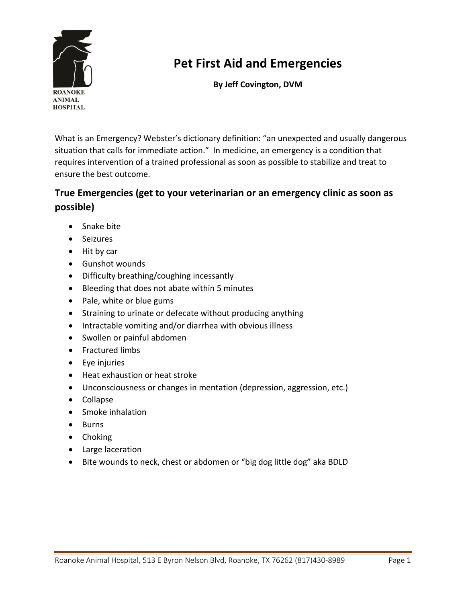

# **Pet First Aid and Emergencies**

**By Jeff Covington, DVM**

What is an Emergency? Webster's dictionary definition: "an unexpected and usually dangerous situation that calls for immediate action." In medicine, an emergency is a condition that requires intervention of a trained professional as soon as possible to stabilize and treat to ensure the best outcome.

### **True Emergencies (get to your veterinarian or an emergency clinic as soon as possible)**

- Snake bite
- Seizures
- Hit by car
- Gunshot wounds
- Difficulty breathing/coughing incessantly
- Bleeding that does not abate within 5 minutes
- Pale, white or blue gums
- Straining to urinate or defecate without producing anything
- Intractable vomiting and/or diarrhea with obvious illness
- Swollen or painful abdomen
- **•** Fractured limbs
- Eye injuries
- Heat exhaustion or heat stroke
- Unconsciousness or changes in mentation (depression, aggression, etc.)
- Collapse
- Smoke inhalation
- Burns
- Choking
- Large laceration
- Bite wounds to neck, chest or abdomen or "big dog little dog" aka BDLD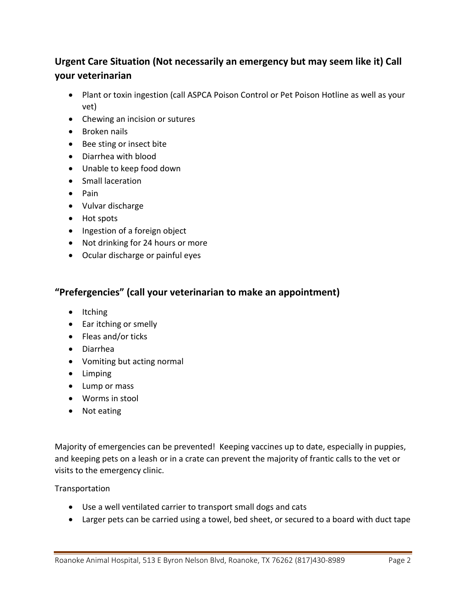### **Urgent Care Situation (Not necessarily an emergency but may seem like it) Call your veterinarian**

- Plant or toxin ingestion (call ASPCA Poison Control or Pet Poison Hotline as well as your vet)
- Chewing an incision or sutures
- Broken nails
- Bee sting or insect bite
- Diarrhea with blood
- Unable to keep food down
- Small laceration
- Pain
- Vulvar discharge
- Hot spots
- Ingestion of a foreign object
- Not drinking for 24 hours or more
- Ocular discharge or painful eyes

#### **"Prefergencies" (call your veterinarian to make an appointment)**

- $\bullet$  Itching
- Ear itching or smelly
- Fleas and/or ticks
- Diarrhea
- Vomiting but acting normal
- Limping
- Lump or mass
- Worms in stool
- Not eating

Majority of emergencies can be prevented! Keeping vaccines up to date, especially in puppies, and keeping pets on a leash or in a crate can prevent the majority of frantic calls to the vet or visits to the emergency clinic.

#### **Transportation**

- Use a well ventilated carrier to transport small dogs and cats
- Larger pets can be carried using a towel, bed sheet, or secured to a board with duct tape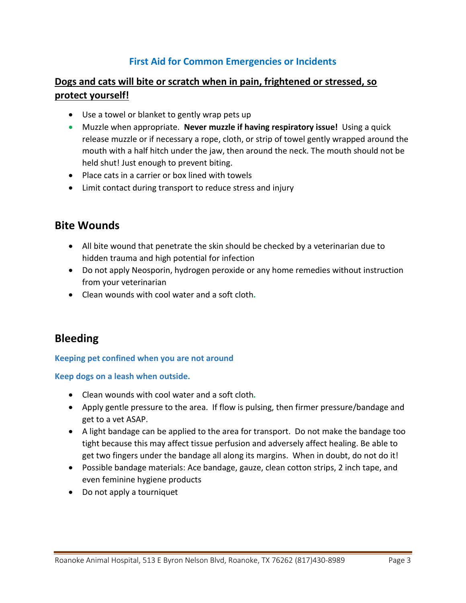### **First Aid for Common Emergencies or Incidents**

### **Dogs and cats will bite or scratch when in pain, frightened or stressed, so protect yourself!**

- Use a towel or blanket to gently wrap pets up
- Muzzle when appropriate. **Never muzzle if having respiratory issue!** Using a quick release muzzle or if necessary a rope, cloth, or strip of towel gently wrapped around the mouth with a half hitch under the jaw, then around the neck. The mouth should not be held shut! Just enough to prevent biting.
- Place cats in a carrier or box lined with towels
- Limit contact during transport to reduce stress and injury

### **Bite Wounds**

- All bite wound that penetrate the skin should be checked by a veterinarian due to hidden trauma and high potential for infection
- Do not apply Neosporin, hydrogen peroxide or any home remedies without instruction from your veterinarian
- Clean wounds with cool water and a soft cloth*.*

### **Bleeding**

#### **Keeping pet confined when you are not around**

#### **Keep dogs on a leash when outside.**

- Clean wounds with cool water and a soft cloth*.*
- Apply gentle pressure to the area. If flow is pulsing, then firmer pressure/bandage and get to a vet ASAP.
- A light bandage can be applied to the area for transport. Do not make the bandage too tight because this may affect tissue perfusion and adversely affect healing. Be able to get two fingers under the bandage all along its margins. When in doubt, do not do it!
- Possible bandage materials: Ace bandage, gauze, clean cotton strips, 2 inch tape, and even feminine hygiene products
- Do not apply a tourniquet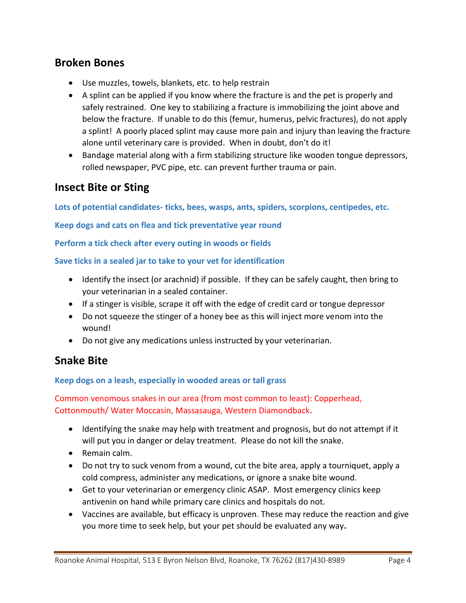### **Broken Bones**

- Use muzzles, towels, blankets, etc. to help restrain
- A splint can be applied if you know where the fracture is and the pet is properly and safely restrained. One key to stabilizing a fracture is immobilizing the joint above and below the fracture. If unable to do this (femur, humerus, pelvic fractures), do not apply a splint! A poorly placed splint may cause more pain and injury than leaving the fracture alone until veterinary care is provided. When in doubt, don't do it!
- Bandage material along with a firm stabilizing structure like wooden tongue depressors, rolled newspaper, PVC pipe, etc. can prevent further trauma or pain.

### **Insect Bite or Sting**

**Lots of potential candidates- ticks, bees, wasps, ants, spiders, scorpions, centipedes, etc.**

**Keep dogs and cats on flea and tick preventative year round**

**Perform a tick check after every outing in woods or fields**

**Save ticks in a sealed jar to take to your vet for identification**

- Identify the insect (or arachnid) if possible. If they can be safely caught, then bring to your veterinarian in a sealed container.
- If a stinger is visible, scrape it off with the edge of credit card or tongue depressor
- Do not squeeze the stinger of a honey bee as this will inject more venom into the wound!
- Do not give any medications unless instructed by your veterinarian.

### **Snake Bite**

**Keep dogs on a leash, especially in wooded areas or tall grass**

Common venomous snakes in our area (from most common to least): Copperhead, Cottonmouth/ Water Moccasin, Massasauga, Western Diamondback.

- Identifying the snake may help with treatment and prognosis, but do not attempt if it will put you in danger or delay treatment. Please do not kill the snake.
- Remain calm.
- Do not try to suck venom from a wound, cut the bite area, apply a tourniquet, apply a cold compress, administer any medications, or ignore a snake bite wound.
- Get to your veterinarian or emergency clinic ASAP. Most emergency clinics keep antivenin on hand while primary care clinics and hospitals do not.
- Vaccines are available, but efficacy is unproven. These may reduce the reaction and give you more time to seek help, but your pet should be evaluated any way**.**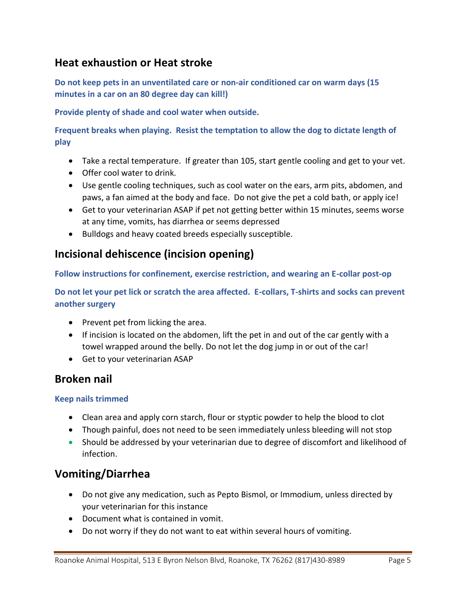### **Heat exhaustion or Heat stroke**

**Do not keep pets in an unventilated care or non-air conditioned car on warm days (15 minutes in a car on an 80 degree day can kill!)**

**Provide plenty of shade and cool water when outside.**

**Frequent breaks when playing. Resist the temptation to allow the dog to dictate length of play**

- Take a rectal temperature. If greater than 105, start gentle cooling and get to your vet.
- Offer cool water to drink.
- Use gentle cooling techniques, such as cool water on the ears, arm pits, abdomen, and paws, a fan aimed at the body and face. Do not give the pet a cold bath, or apply ice!
- Get to your veterinarian ASAP if pet not getting better within 15 minutes, seems worse at any time, vomits, has diarrhea or seems depressed
- Bulldogs and heavy coated breeds especially susceptible.

### **Incisional dehiscence (incision opening)**

**Follow instructions for confinement, exercise restriction, and wearing an E-collar post-op**

**Do not let your pet lick or scratch the area affected. E-collars, T-shirts and socks can prevent another surgery**

- Prevent pet from licking the area.
- If incision is located on the abdomen, lift the pet in and out of the car gently with a towel wrapped around the belly. Do not let the dog jump in or out of the car!
- Get to your veterinarian ASAP

### **Broken nail**

#### **Keep nails trimmed**

- Clean area and apply corn starch, flour or styptic powder to help the blood to clot
- Though painful, does not need to be seen immediately unless bleeding will not stop
- Should be addressed by your veterinarian due to degree of discomfort and likelihood of infection.

### **Vomiting/Diarrhea**

- Do not give any medication, such as Pepto Bismol, or Immodium, unless directed by your veterinarian for this instance
- Document what is contained in vomit.
- Do not worry if they do not want to eat within several hours of vomiting.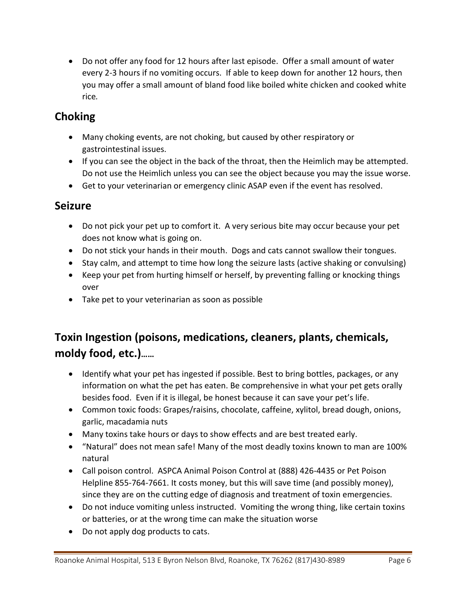Do not offer any food for 12 hours after last episode. Offer a small amount of water every 2-3 hours if no vomiting occurs. If able to keep down for another 12 hours, then you may offer a small amount of bland food like boiled white chicken and cooked white rice*.* 

# **Choking**

- Many choking events, are not choking, but caused by other respiratory or gastrointestinal issues.
- If you can see the object in the back of the throat, then the Heimlich may be attempted. Do not use the Heimlich unless you can see the object because you may the issue worse.
- Get to your veterinarian or emergency clinic ASAP even if the event has resolved.

### **Seizure**

- Do not pick your pet up to comfort it. A very serious bite may occur because your pet does not know what is going on.
- Do not stick your hands in their mouth. Dogs and cats cannot swallow their tongues.
- Stay calm, and attempt to time how long the seizure lasts (active shaking or convulsing)
- Keep your pet from hurting himself or herself, by preventing falling or knocking things over
- Take pet to your veterinarian as soon as possible

# **Toxin Ingestion (poisons, medications, cleaners, plants, chemicals, moldy food, etc.)……**

- Identify what your pet has ingested if possible. Best to bring bottles, packages, or any information on what the pet has eaten. Be comprehensive in what your pet gets orally besides food. Even if it is illegal, be honest because it can save your pet's life.
- Common toxic foods: Grapes/raisins, chocolate, caffeine, xylitol, bread dough, onions, garlic, macadamia nuts
- Many toxins take hours or days to show effects and are best treated early.
- "Natural" does not mean safe! Many of the most deadly toxins known to man are 100% natural
- Call poison control. ASPCA Animal Poison Control at (888) 426-4435 or Pet Poison Helpline 855-764-7661. It costs money, but this will save time (and possibly money), since they are on the cutting edge of diagnosis and treatment of toxin emergencies.
- Do not induce vomiting unless instructed. Vomiting the wrong thing, like certain toxins or batteries, or at the wrong time can make the situation worse
- Do not apply dog products to cats.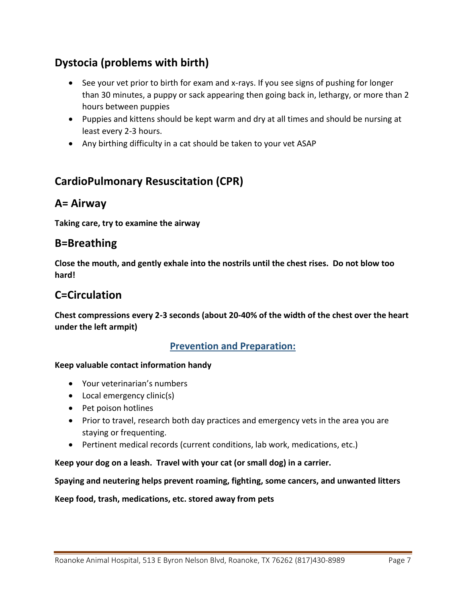# **Dystocia (problems with birth)**

- See your vet prior to birth for exam and x-rays. If you see signs of pushing for longer than 30 minutes, a puppy or sack appearing then going back in, lethargy, or more than 2 hours between puppies
- Puppies and kittens should be kept warm and dry at all times and should be nursing at least every 2-3 hours.
- Any birthing difficulty in a cat should be taken to your vet ASAP

## **CardioPulmonary Resuscitation (CPR)**

### **A= Airway**

**Taking care, try to examine the airway**

### **B=Breathing**

**Close the mouth, and gently exhale into the nostrils until the chest rises. Do not blow too hard!**

### **C=Circulation**

**Chest compressions every 2-3 seconds (about 20-40% of the width of the chest over the heart under the left armpit)**

#### **Prevention and Preparation:**

#### **Keep valuable contact information handy**

- Your veterinarian's numbers
- Local emergency clinic(s)
- Pet poison hotlines
- Prior to travel, research both day practices and emergency vets in the area you are staying or frequenting.
- Pertinent medical records (current conditions, lab work, medications, etc.)

**Keep your dog on a leash. Travel with your cat (or small dog) in a carrier.**

**Spaying and neutering helps prevent roaming, fighting, some cancers, and unwanted litters**

**Keep food, trash, medications, etc. stored away from pets**